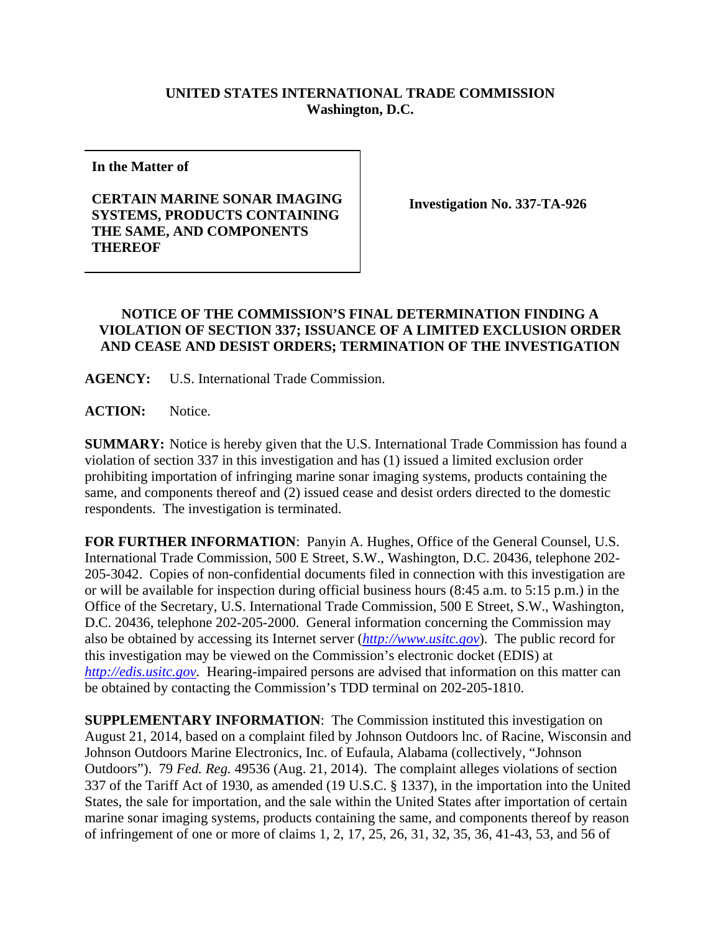## **UNITED STATES INTERNATIONAL TRADE COMMISSION Washington, D.C.**

**In the Matter of** 

## **CERTAIN MARINE SONAR IMAGING SYSTEMS, PRODUCTS CONTAINING THE SAME, AND COMPONENTS THEREOF**

**Investigation No. 337-TA-926** 

## **NOTICE OF THE COMMISSION'S FINAL DETERMINATION FINDING A VIOLATION OF SECTION 337; ISSUANCE OF A LIMITED EXCLUSION ORDER AND CEASE AND DESIST ORDERS; TERMINATION OF THE INVESTIGATION**

**AGENCY:** U.S. International Trade Commission.

**ACTION:** Notice.

**SUMMARY:** Notice is hereby given that the U.S. International Trade Commission has found a violation of section 337 in this investigation and has (1) issued a limited exclusion order prohibiting importation of infringing marine sonar imaging systems, products containing the same, and components thereof and (2) issued cease and desist orders directed to the domestic respondents. The investigation is terminated.

**FOR FURTHER INFORMATION**: Panyin A. Hughes, Office of the General Counsel, U.S. International Trade Commission, 500 E Street, S.W., Washington, D.C. 20436, telephone 202- 205-3042. Copies of non-confidential documents filed in connection with this investigation are or will be available for inspection during official business hours (8:45 a.m. to 5:15 p.m.) in the Office of the Secretary, U.S. International Trade Commission, 500 E Street, S.W., Washington, D.C. 20436, telephone 202-205-2000. General information concerning the Commission may also be obtained by accessing its Internet server (*http://www.usitc.gov*). The public record for this investigation may be viewed on the Commission's electronic docket (EDIS) at *http://edis.usitc.gov*. Hearing-impaired persons are advised that information on this matter can be obtained by contacting the Commission's TDD terminal on 202-205-1810.

**SUPPLEMENTARY INFORMATION**: The Commission instituted this investigation on August 21, 2014, based on a complaint filed by Johnson Outdoors lnc. of Racine, Wisconsin and Johnson Outdoors Marine Electronics, Inc. of Eufaula, Alabama (collectively, "Johnson Outdoors"). 79 *Fed. Reg.* 49536 (Aug. 21, 2014). The complaint alleges violations of section 337 of the Tariff Act of 1930, as amended (19 U.S.C. § 1337), in the importation into the United States, the sale for importation, and the sale within the United States after importation of certain marine sonar imaging systems, products containing the same, and components thereof by reason of infringement of one or more of claims 1, 2, 17, 25, 26, 31, 32, 35, 36, 41-43, 53, and 56 of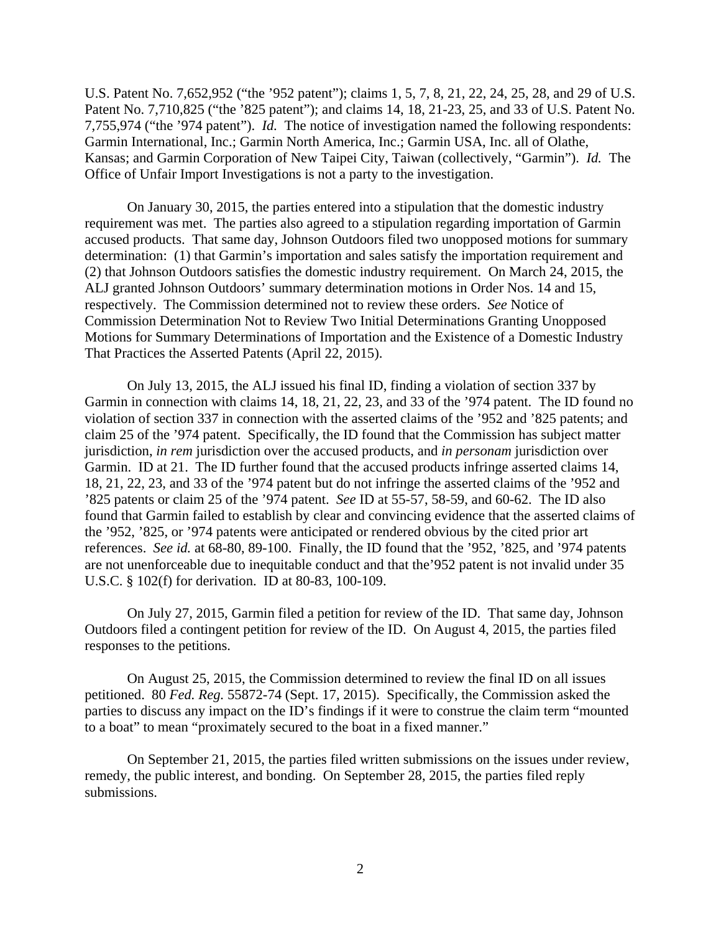U.S. Patent No. 7,652,952 ("the '952 patent"); claims 1, 5, 7, 8, 21, 22, 24, 25, 28, and 29 of U.S. Patent No. 7,710,825 ("the '825 patent"); and claims 14, 18, 21-23, 25, and 33 of U.S. Patent No. 7,755,974 ("the '974 patent"). *Id.* The notice of investigation named the following respondents: Garmin International, Inc.; Garmin North America, Inc.; Garmin USA, Inc. all of Olathe, Kansas; and Garmin Corporation of New Taipei City, Taiwan (collectively, "Garmin"). *Id.* The Office of Unfair Import Investigations is not a party to the investigation.

On January 30, 2015, the parties entered into a stipulation that the domestic industry requirement was met. The parties also agreed to a stipulation regarding importation of Garmin accused products. That same day, Johnson Outdoors filed two unopposed motions for summary determination: (1) that Garmin's importation and sales satisfy the importation requirement and (2) that Johnson Outdoors satisfies the domestic industry requirement. On March 24, 2015, the ALJ granted Johnson Outdoors' summary determination motions in Order Nos. 14 and 15, respectively. The Commission determined not to review these orders. *See* Notice of Commission Determination Not to Review Two Initial Determinations Granting Unopposed Motions for Summary Determinations of Importation and the Existence of a Domestic Industry That Practices the Asserted Patents (April 22, 2015).

On July 13, 2015, the ALJ issued his final ID, finding a violation of section 337 by Garmin in connection with claims 14, 18, 21, 22, 23, and 33 of the '974 patent. The ID found no violation of section 337 in connection with the asserted claims of the '952 and '825 patents; and claim 25 of the '974 patent. Specifically, the ID found that the Commission has subject matter jurisdiction, *in rem* jurisdiction over the accused products, and *in personam* jurisdiction over Garmin. ID at 21. The ID further found that the accused products infringe asserted claims 14, 18, 21, 22, 23, and 33 of the '974 patent but do not infringe the asserted claims of the '952 and '825 patents or claim 25 of the '974 patent. *See* ID at 55-57, 58-59, and 60-62. The ID also found that Garmin failed to establish by clear and convincing evidence that the asserted claims of the '952, '825, or '974 patents were anticipated or rendered obvious by the cited prior art references. *See id.* at 68-80, 89-100. Finally, the ID found that the '952, '825, and '974 patents are not unenforceable due to inequitable conduct and that the'952 patent is not invalid under 35 U.S.C. § 102(f) for derivation. ID at 80-83, 100-109.

 On July 27, 2015, Garmin filed a petition for review of the ID. That same day, Johnson Outdoors filed a contingent petition for review of the ID. On August 4, 2015, the parties filed responses to the petitions.

On August 25, 2015, the Commission determined to review the final ID on all issues petitioned. 80 *Fed. Reg.* 55872-74 (Sept. 17, 2015). Specifically, the Commission asked the parties to discuss any impact on the ID's findings if it were to construe the claim term "mounted to a boat" to mean "proximately secured to the boat in a fixed manner."

 On September 21, 2015, the parties filed written submissions on the issues under review, remedy, the public interest, and bonding. On September 28, 2015, the parties filed reply submissions.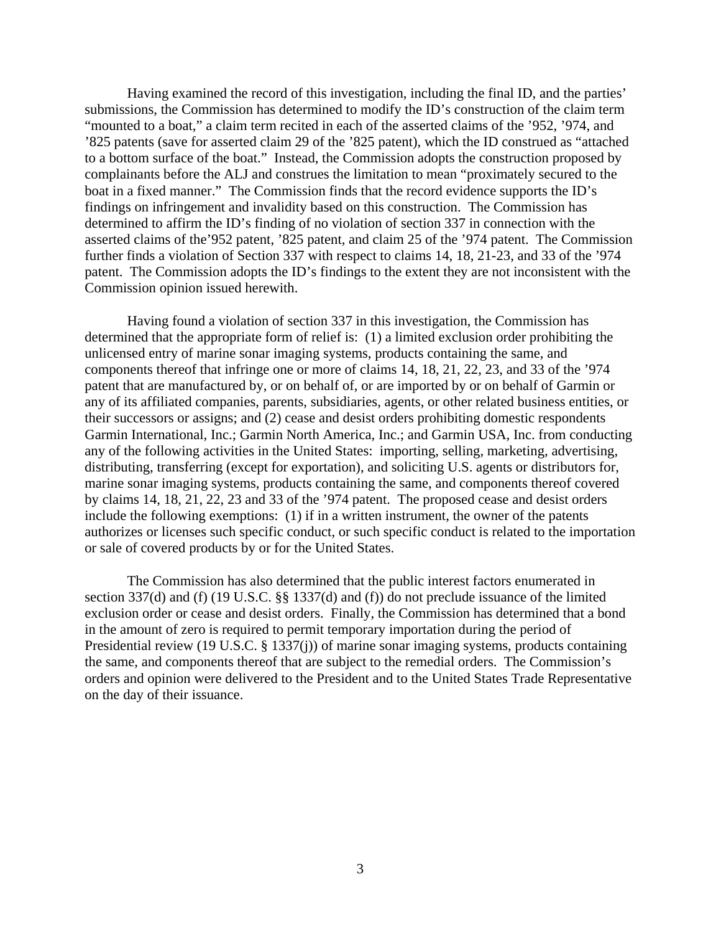Having examined the record of this investigation, including the final ID, and the parties' submissions, the Commission has determined to modify the ID's construction of the claim term "mounted to a boat," a claim term recited in each of the asserted claims of the '952, '974, and '825 patents (save for asserted claim 29 of the '825 patent), which the ID construed as "attached to a bottom surface of the boat." Instead, the Commission adopts the construction proposed by complainants before the ALJ and construes the limitation to mean "proximately secured to the boat in a fixed manner." The Commission finds that the record evidence supports the ID's findings on infringement and invalidity based on this construction. The Commission has determined to affirm the ID's finding of no violation of section 337 in connection with the asserted claims of the'952 patent, '825 patent, and claim 25 of the '974 patent. The Commission further finds a violation of Section 337 with respect to claims 14, 18, 21-23, and 33 of the '974 patent. The Commission adopts the ID's findings to the extent they are not inconsistent with the Commission opinion issued herewith.

 Having found a violation of section 337 in this investigation, the Commission has determined that the appropriate form of relief is: (1) a limited exclusion order prohibiting the unlicensed entry of marine sonar imaging systems, products containing the same, and components thereof that infringe one or more of claims 14, 18, 21, 22, 23, and 33 of the '974 patent that are manufactured by, or on behalf of, or are imported by or on behalf of Garmin or any of its affiliated companies, parents, subsidiaries, agents, or other related business entities, or their successors or assigns; and (2) cease and desist orders prohibiting domestic respondents Garmin International, Inc.; Garmin North America, Inc.; and Garmin USA, Inc. from conducting any of the following activities in the United States: importing, selling, marketing, advertising, distributing, transferring (except for exportation), and soliciting U.S. agents or distributors for, marine sonar imaging systems, products containing the same, and components thereof covered by claims 14, 18, 21, 22, 23 and 33 of the '974 patent. The proposed cease and desist orders include the following exemptions: (1) if in a written instrument, the owner of the patents authorizes or licenses such specific conduct, or such specific conduct is related to the importation or sale of covered products by or for the United States.

 The Commission has also determined that the public interest factors enumerated in section 337(d) and (f) (19 U.S.C. §§ 1337(d) and (f)) do not preclude issuance of the limited exclusion order or cease and desist orders. Finally, the Commission has determined that a bond in the amount of zero is required to permit temporary importation during the period of Presidential review (19 U.S.C. § 1337(j)) of marine sonar imaging systems, products containing the same, and components thereof that are subject to the remedial orders. The Commission's orders and opinion were delivered to the President and to the United States Trade Representative on the day of their issuance.